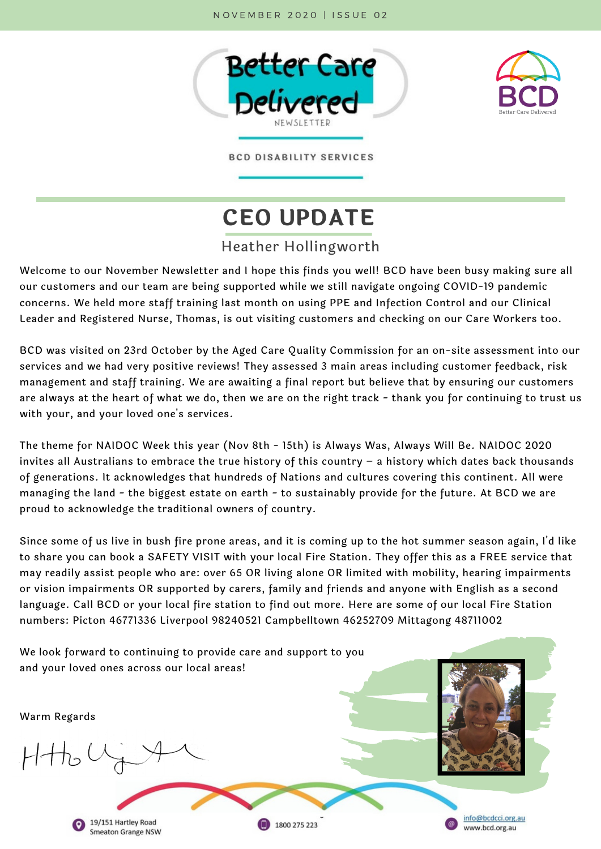



**BCD DISABILITY SERVICES** 

# **CEO UPDATE**

#### Heather Hollingworth

Welcome to our November Newsletter and I hope this finds you well! BCD have been busy making sure all our customers and our team are being supported while we still navigate ongoing COVID-19 pandemic concerns. We held more staff training last month on using PPE and Infection Control and our Clinical Leader and Registered Nurse, Thomas, is out visiting customers and checking on our Care Workers too.

BCD was visited on 23rd October by the Aged Care Quality Commission for an on-site assessment into our services and we had very positive reviews! They assessed 3 main areas including customer feedback, risk management and staff training. We are awaiting a final report but believe that by ensuring our customers are always at the heart of what we do, then we are on the right track - thank you for continuing to trust us with your, and your loved one's services.

The theme for NAIDOC Week this year (Nov 8th - 15th) is Always Was, Always Will Be. NAIDOC 2020 invites all Australians to embrace the true history of this country – a history which dates back thousands of generations. It acknowledges that hundreds of Nations and cultures covering this continent. All were managing the land - the biggest estate on earth - to sustainably provide for the future. At BCD we are proud to acknowledge the traditional owners of country.

Since some of us live in bush fire prone areas, and it is coming up to the hot summer season again, I'd like to share you can book a SAFETY VISIT with your local Fire Station. They offer this as a FREE service that may readily assist people who are: over 65 OR living alone OR limited with mobility, hearing impairments or vision impairments OR supported by carers, family and friends and anyone with English as a second language. Call BCD or your local fire station to find out more. Here are some of our local Fire Station numbers: Picton 46771336 Liverpool 98240521 Campbelltown 46252709 Mittagong 48711002

We look forward to continuing to provide care and support to you and your loved ones across our local areas!Warm Regards  $H + h_0$ info@bcdcci.org.au 19/151 Hartley Road 1800 275 223 www.bcd.org.au

**Smeaton Grange NSW**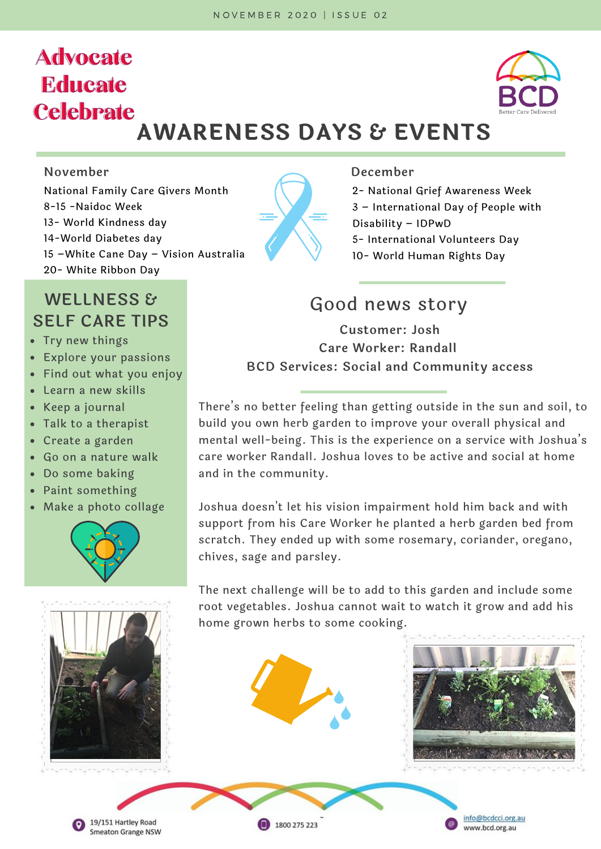# **Advocate Educate Celebrate**



# **AWARENESS DAYS & EVENTS**

National Family Care Givers Month 8-15 -Naidoc Week 13- World Kindness day 14-World Diabetes day 15 –White Cane Day – Vision Australia 20- White Ribbon Day

### **WELLNESS & SELF CARE TIPS Customer: Josh**

- Try new things
- Explore your passions
- Find out what you enjoy
- Learn a new skills
- Keep a journal
- Talk to a therapist
- Create a garden
- Go on a nature walk
- Do some baking
- Paint something
- Make a photo collage











1800 275 223

2- National Grief Awareness Week 3 – International Day of People with Disability – IDPwD 5- International Volunteers Day 10- World Human Rights Day

## Good news story

**Care Worker: Randall BCD Services: Social and Community access**

There's no better feeling than getting outside in the sun and soil, to build you own herb garden to improve your overall physical and mental well-being. This is the experience on a service with Joshua's care worker Randall. Joshua loves to be active and social at home and in the community.

Joshua doesn't let his vision impairment hold him back and with support from his Care Worker he planted a herb garden bed from scratch. They ended up with some rosemary, coriander, oregano, chives, sage and parsley.

The next challenge will be to add to this garden and include some root vegetables. Joshua cannot wait to watch it grow and add his home grown herbs to some cooking.



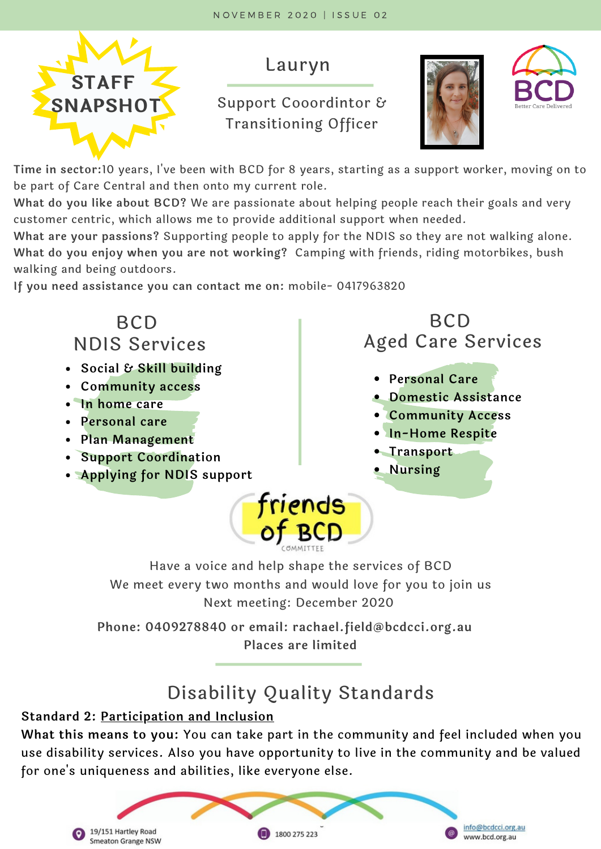

### Lauryn

#### **Support Cooordintor &** Transitioning Officer





**Time in sector:**10 years, I've been with BCD for 8 years, starting as a support worker, moving on to be part of Care Central and then onto my current role.

**What do you like about BCD?** We are passionate about helping people reach their goals and very customer centric, which allows me to provide additional support when needed.

**What are your passions?** Supporting people to apply for the NDIS so they are not walking alone. **What do you enjoy when you are not working?** Camping with friends, riding motorbikes, bush walking and being outdoors.

**If you need assistance you can contact me on:** mobile- 0417963820

#### **BCD BCD** Aged Care Services NDIS Services **Social & Skill building Personal Care Community access Domestic Assistance In home care Community Access Personal care In-Home Respite Plan Management • Transport Support Coordination Nursing Applying for NDIS support** friends<br>of BCD

Have a voice and help shape the services of BCD We meet every two months and would love for you to join us Next meeting: December 2020

**Phone: 0409278840 or email: rachael.field@bcdcci.org.au Places are limited**

# Disability Quality Standards

#### **Standard 2: Participation and Inclusion**

**What this means to you:** You can take part in the community and feel included when you use disability services. Also you have opportunity to live in the community and be valued for one's uniqueness and abilities, like everyone else.